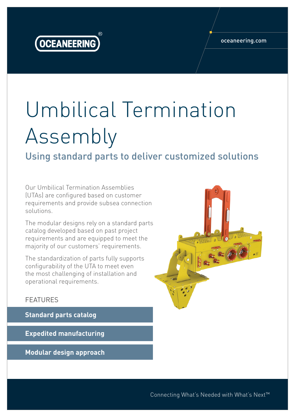

## Umbilical Termination Assembly

Using standard parts to deliver customized solutions

Our Umbilical Termination Assemblies (UTAs) are configured based on customer requirements and provide subsea connection solutions.

The modular designs rely on a standard parts catalog developed based on past project requirements and are equipped to meet the majority of our customers' requirements.

The standardization of parts fully supports configurability of the UTA to meet even the most challenging of installation and operational requirements.

## FEATURES

**Standard parts catalog**

**Expedited manufacturing**

**Modular design approach**



Connecting What's Needed with What's Next™